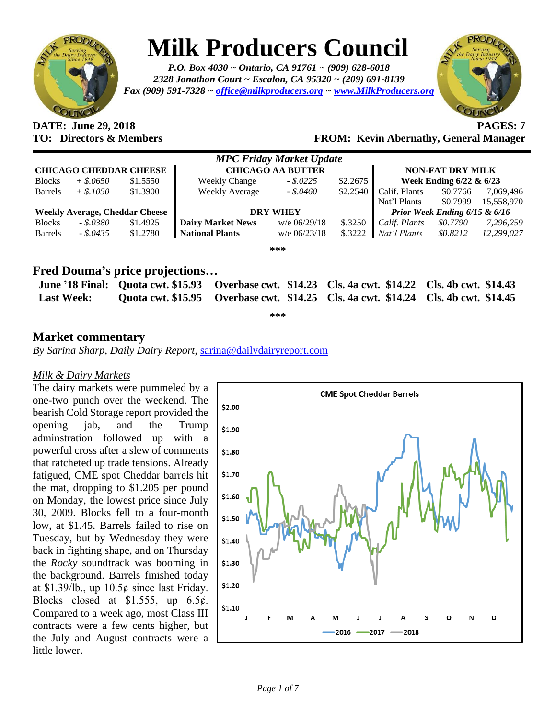

# **Milk Producers Council**

*P.O. Box 4030 ~ Ontario, CA 91761 ~ (909) 628-6018 2328 Jonathon Court ~ Escalon, CA 95320 ~ (209) 691-8139 Fax (909) 591-7328 ~ [office@milkproducers.org](mailto:office@milkproducers.org) ~ [www.MilkProducers.org](http://www.milkproducers.org/)*



# **DATE: June 29, 2018 PAGES: 7**

### **TO: Directors & Members FROM: Kevin Abernathy, General Manager**

| <b>MPC Friday Market Update</b>       |             |          |                          |                |          |                               |          |            |  |  |
|---------------------------------------|-------------|----------|--------------------------|----------------|----------|-------------------------------|----------|------------|--|--|
| <b>CHICAGO CHEDDAR CHEESE</b>         |             |          | <b>CHICAGO AA BUTTER</b> |                |          | <b>NON-FAT DRY MILK</b>       |          |            |  |  |
| <b>Blocks</b>                         | $+$ \$.0650 | \$1.5550 | <b>Weekly Change</b>     | $-.$ \$.0225   | \$2.2675 | Week Ending 6/22 & 6/23       |          |            |  |  |
| <b>Barrels</b>                        | $+$ \$.1050 | \$1.3900 | <b>Weekly Average</b>    | $-$ \$.0460    | \$2.2540 | Calif. Plants                 | \$0.7766 | 7,069,496  |  |  |
|                                       |             |          |                          |                |          | Nat'l Plants                  | \$0.7999 | 15,558,970 |  |  |
| <b>Weekly Average, Cheddar Cheese</b> |             |          | <b>DRY WHEY</b>          |                |          | Prior Week Ending 6/15 & 6/16 |          |            |  |  |
| <b>Blocks</b>                         | $-.5.0380$  | \$1.4925 | <b>Dairy Market News</b> | $w/e$ 06/29/18 | \$.3250  | Calif. Plants                 | \$0.7790 | 7,296,259  |  |  |
| <b>Barrels</b>                        | $-.5.0435$  | \$1.2780 | <b>National Plants</b>   | $w/e$ 06/23/18 | \$.3222  | Nat'l Plants                  | \$0.8212 | 12.299.027 |  |  |
| ***                                   |             |          |                          |                |          |                               |          |            |  |  |

### **Fred Douma's price projections…**

|                   | June '18 Final: Quota cwt. \$15.93 Overbase cwt. \$14.23 Cls. 4a cwt. \$14.22 Cls. 4b cwt. \$14.43 |  |
|-------------------|----------------------------------------------------------------------------------------------------|--|
| <b>Last Week:</b> | Quota cwt. \$15.95 Qverbase cwt. \$14.25 Cls. 4a cwt. \$14.24 Cls. 4b cwt. \$14.45                 |  |

**\*\*\***

### **Market commentary**

*By Sarina Sharp, Daily Dairy Report,* [sarina@dailydairyreport.com](mailto:sarina@dailydairyreport.com)

#### *Milk & Dairy Markets*

The dairy markets were pummeled by a one-two punch over the weekend. The bearish Cold Storage report provided the opening jab, and the Trump adminstration followed up with a powerful cross after a slew of comments that ratcheted up trade tensions. Already fatigued, CME spot Cheddar barrels hit the mat, dropping to \$1.205 per pound on Monday, the lowest price since July 30, 2009. Blocks fell to a four-month low, at \$1.45. Barrels failed to rise on Tuesday, but by Wednesday they were back in fighting shape, and on Thursday the *Rocky* soundtrack was booming in the background. Barrels finished today at \$1.39/lb., up  $10.5¢$  since last Friday. Blocks closed at \$1.555, up  $6.5¢$ . Compared to a week ago, most Class III contracts were a few cents higher, but the July and August contracts were a little lower.

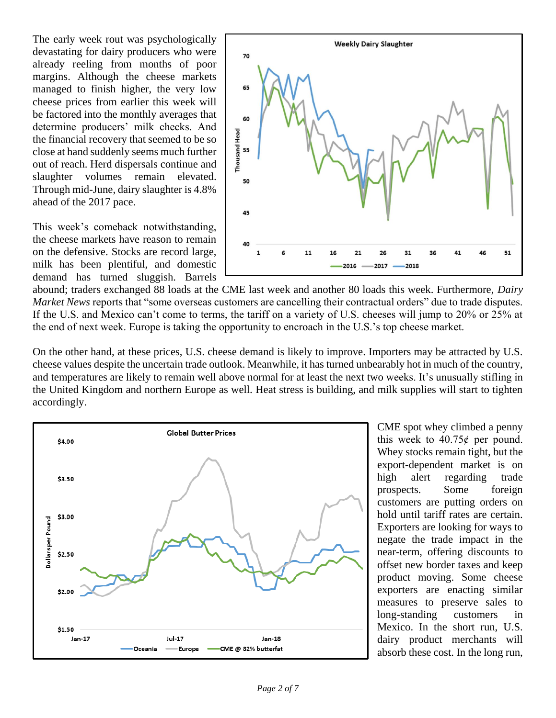The early week rout was psychologically devastating for dairy producers who were already reeling from months of poor margins. Although the cheese markets managed to finish higher, the very low cheese prices from earlier this week will be factored into the monthly averages that determine producers' milk checks. And the financial recovery that seemed to be so close at hand suddenly seems much further out of reach. Herd dispersals continue and slaughter volumes remain elevated. Through mid-June, dairy slaughter is 4.8% ahead of the 2017 pace.

This week's comeback notwithstanding, the cheese markets have reason to remain on the defensive. Stocks are record large, milk has been plentiful, and domestic demand has turned sluggish. Barrels



abound; traders exchanged 88 loads at the CME last week and another 80 loads this week. Furthermore, *Dairy Market News* reports that "some overseas customers are cancelling their contractual orders" due to trade disputes. If the U.S. and Mexico can't come to terms, the tariff on a variety of U.S. cheeses will jump to 20% or 25% at the end of next week. Europe is taking the opportunity to encroach in the U.S.'s top cheese market.

On the other hand, at these prices, U.S. cheese demand is likely to improve. Importers may be attracted by U.S. cheese values despite the uncertain trade outlook. Meanwhile, it has turned unbearably hot in much of the country, and temperatures are likely to remain well above normal for at least the next two weeks. It's unusually stifling in the United Kingdom and northern Europe as well. Heat stress is building, and milk supplies will start to tighten accordingly.



CME spot whey climbed a penny this week to  $40.75¢$  per pound. Whey stocks remain tight, but the export-dependent market is on high alert regarding trade prospects. Some foreign customers are putting orders on hold until tariff rates are certain. Exporters are looking for ways to negate the trade impact in the near-term, offering discounts to offset new border taxes and keep product moving. Some cheese exporters are enacting similar measures to preserve sales to long-standing customers in Mexico. In the short run, U.S. dairy product merchants will absorb these cost. In the long run,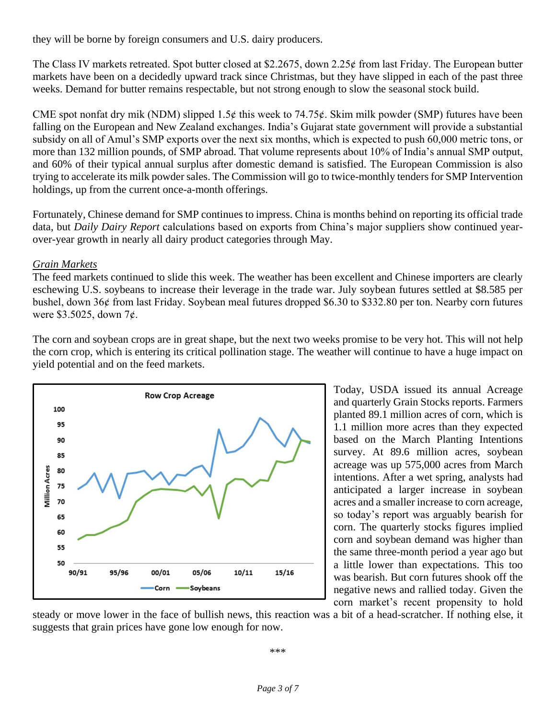they will be borne by foreign consumers and U.S. dairy producers.

The Class IV markets retreated. Spot butter closed at \$2.2675, down 2.25 $\phi$  from last Friday. The European butter markets have been on a decidedly upward track since Christmas, but they have slipped in each of the past three weeks. Demand for butter remains respectable, but not strong enough to slow the seasonal stock build.

CME spot nonfat dry mik (NDM) slipped 1.5 $\phi$  this week to 74.75 $\phi$ . Skim milk powder (SMP) futures have been falling on the European and New Zealand exchanges. India's Gujarat state government will provide a substantial subsidy on all of Amul's SMP exports over the next six months, which is expected to push 60,000 metric tons, or more than 132 million pounds, of SMP abroad. That volume represents about 10% of India's annual SMP output, and 60% of their typical annual surplus after domestic demand is satisfied. The European Commission is also trying to accelerate its milk powder sales. The Commission will go to twice-monthly tenders for SMP Intervention holdings, up from the current once-a-month offerings.

Fortunately, Chinese demand for SMP continues to impress. China is months behind on reporting its official trade data, but *Daily Dairy Report* calculations based on exports from China's major suppliers show continued yearover-year growth in nearly all dairy product categories through May.

#### *Grain Markets*

The feed markets continued to slide this week. The weather has been excellent and Chinese importers are clearly eschewing U.S. soybeans to increase their leverage in the trade war. July soybean futures settled at \$8.585 per bushel, down 36ȼ from last Friday. Soybean meal futures dropped \$6.30 to \$332.80 per ton. Nearby corn futures were \$3.5025, down 7¢.

The corn and soybean crops are in great shape, but the next two weeks promise to be very hot. This will not help the corn crop, which is entering its critical pollination stage. The weather will continue to have a huge impact on yield potential and on the feed markets.



Today, USDA issued its annual Acreage and quarterly Grain Stocks reports. Farmers planted 89.1 million acres of corn, which is 1.1 million more acres than they expected based on the March Planting Intentions survey. At 89.6 million acres, soybean acreage was up 575,000 acres from March intentions. After a wet spring, analysts had anticipated a larger increase in soybean acres and a smaller increase to corn acreage, so today's report was arguably bearish for corn. The quarterly stocks figures implied corn and soybean demand was higher than the same three-month period a year ago but a little lower than expectations. This too was bearish. But corn futures shook off the negative news and rallied today. Given the corn market's recent propensity to hold

steady or move lower in the face of bullish news, this reaction was a bit of a head-scratcher. If nothing else, it suggests that grain prices have gone low enough for now.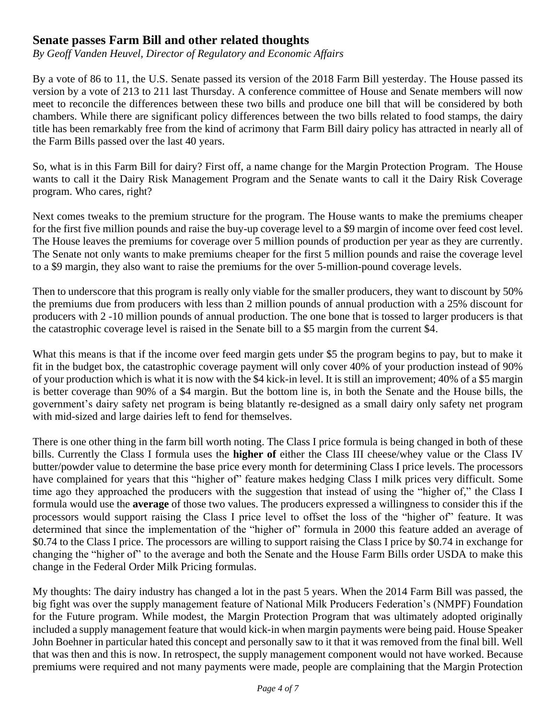## **Senate passes Farm Bill and other related thoughts**

*By Geoff Vanden Heuvel, Director of Regulatory and Economic Affairs*

By a vote of 86 to 11, the U.S. Senate passed its version of the 2018 Farm Bill yesterday. The House passed its version by a vote of 213 to 211 last Thursday. A conference committee of House and Senate members will now meet to reconcile the differences between these two bills and produce one bill that will be considered by both chambers. While there are significant policy differences between the two bills related to food stamps, the dairy title has been remarkably free from the kind of acrimony that Farm Bill dairy policy has attracted in nearly all of the Farm Bills passed over the last 40 years.

So, what is in this Farm Bill for dairy? First off, a name change for the Margin Protection Program. The House wants to call it the Dairy Risk Management Program and the Senate wants to call it the Dairy Risk Coverage program. Who cares, right?

Next comes tweaks to the premium structure for the program. The House wants to make the premiums cheaper for the first five million pounds and raise the buy-up coverage level to a \$9 margin of income over feed cost level. The House leaves the premiums for coverage over 5 million pounds of production per year as they are currently. The Senate not only wants to make premiums cheaper for the first 5 million pounds and raise the coverage level to a \$9 margin, they also want to raise the premiums for the over 5-million-pound coverage levels.

Then to underscore that this program is really only viable for the smaller producers, they want to discount by 50% the premiums due from producers with less than 2 million pounds of annual production with a 25% discount for producers with 2 -10 million pounds of annual production. The one bone that is tossed to larger producers is that the catastrophic coverage level is raised in the Senate bill to a \$5 margin from the current \$4.

What this means is that if the income over feed margin gets under \$5 the program begins to pay, but to make it fit in the budget box, the catastrophic coverage payment will only cover 40% of your production instead of 90% of your production which is what it is now with the \$4 kick-in level. It is still an improvement; 40% of a \$5 margin is better coverage than 90% of a \$4 margin. But the bottom line is, in both the Senate and the House bills, the government's dairy safety net program is being blatantly re-designed as a small dairy only safety net program with mid-sized and large dairies left to fend for themselves.

There is one other thing in the farm bill worth noting. The Class I price formula is being changed in both of these bills. Currently the Class I formula uses the **higher of** either the Class III cheese/whey value or the Class IV butter/powder value to determine the base price every month for determining Class I price levels. The processors have complained for years that this "higher of" feature makes hedging Class I milk prices very difficult. Some time ago they approached the producers with the suggestion that instead of using the "higher of," the Class I formula would use the **average** of those two values. The producers expressed a willingness to consider this if the processors would support raising the Class I price level to offset the loss of the "higher of" feature. It was determined that since the implementation of the "higher of" formula in 2000 this feature added an average of \$0.74 to the Class I price. The processors are willing to support raising the Class I price by \$0.74 in exchange for changing the "higher of" to the average and both the Senate and the House Farm Bills order USDA to make this change in the Federal Order Milk Pricing formulas.

My thoughts: The dairy industry has changed a lot in the past 5 years. When the 2014 Farm Bill was passed, the big fight was over the supply management feature of National Milk Producers Federation's (NMPF) Foundation for the Future program. While modest, the Margin Protection Program that was ultimately adopted originally included a supply management feature that would kick-in when margin payments were being paid. House Speaker John Boehner in particular hated this concept and personally saw to it that it was removed from the final bill. Well that was then and this is now. In retrospect, the supply management component would not have worked. Because premiums were required and not many payments were made, people are complaining that the Margin Protection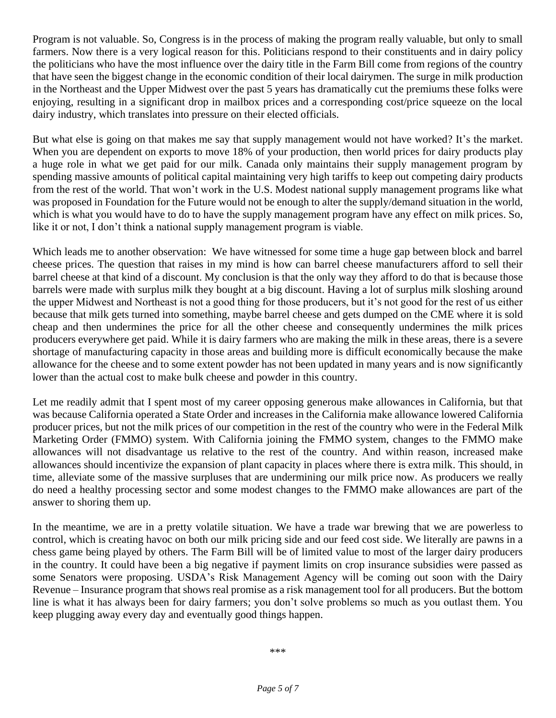Program is not valuable. So, Congress is in the process of making the program really valuable, but only to small farmers. Now there is a very logical reason for this. Politicians respond to their constituents and in dairy policy the politicians who have the most influence over the dairy title in the Farm Bill come from regions of the country that have seen the biggest change in the economic condition of their local dairymen. The surge in milk production in the Northeast and the Upper Midwest over the past 5 years has dramatically cut the premiums these folks were enjoying, resulting in a significant drop in mailbox prices and a corresponding cost/price squeeze on the local dairy industry, which translates into pressure on their elected officials.

But what else is going on that makes me say that supply management would not have worked? It's the market. When you are dependent on exports to move 18% of your production, then world prices for dairy products play a huge role in what we get paid for our milk. Canada only maintains their supply management program by spending massive amounts of political capital maintaining very high tariffs to keep out competing dairy products from the rest of the world. That won't work in the U.S. Modest national supply management programs like what was proposed in Foundation for the Future would not be enough to alter the supply/demand situation in the world, which is what you would have to do to have the supply management program have any effect on milk prices. So, like it or not, I don't think a national supply management program is viable.

Which leads me to another observation: We have witnessed for some time a huge gap between block and barrel cheese prices. The question that raises in my mind is how can barrel cheese manufacturers afford to sell their barrel cheese at that kind of a discount. My conclusion is that the only way they afford to do that is because those barrels were made with surplus milk they bought at a big discount. Having a lot of surplus milk sloshing around the upper Midwest and Northeast is not a good thing for those producers, but it's not good for the rest of us either because that milk gets turned into something, maybe barrel cheese and gets dumped on the CME where it is sold cheap and then undermines the price for all the other cheese and consequently undermines the milk prices producers everywhere get paid. While it is dairy farmers who are making the milk in these areas, there is a severe shortage of manufacturing capacity in those areas and building more is difficult economically because the make allowance for the cheese and to some extent powder has not been updated in many years and is now significantly lower than the actual cost to make bulk cheese and powder in this country.

Let me readily admit that I spent most of my career opposing generous make allowances in California, but that was because California operated a State Order and increases in the California make allowance lowered California producer prices, but not the milk prices of our competition in the rest of the country who were in the Federal Milk Marketing Order (FMMO) system. With California joining the FMMO system, changes to the FMMO make allowances will not disadvantage us relative to the rest of the country. And within reason, increased make allowances should incentivize the expansion of plant capacity in places where there is extra milk. This should, in time, alleviate some of the massive surpluses that are undermining our milk price now. As producers we really do need a healthy processing sector and some modest changes to the FMMO make allowances are part of the answer to shoring them up.

In the meantime, we are in a pretty volatile situation. We have a trade war brewing that we are powerless to control, which is creating havoc on both our milk pricing side and our feed cost side. We literally are pawns in a chess game being played by others. The Farm Bill will be of limited value to most of the larger dairy producers in the country. It could have been a big negative if payment limits on crop insurance subsidies were passed as some Senators were proposing. USDA's Risk Management Agency will be coming out soon with the Dairy Revenue – Insurance program that shows real promise as a risk management tool for all producers. But the bottom line is what it has always been for dairy farmers; you don't solve problems so much as you outlast them. You keep plugging away every day and eventually good things happen.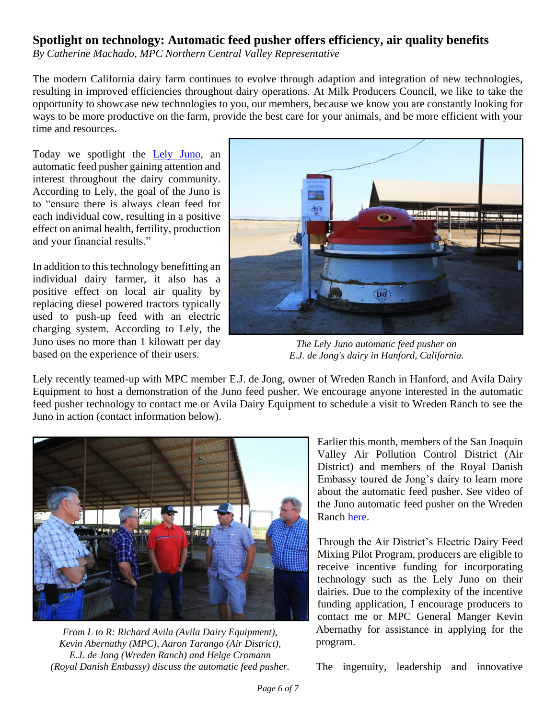### **Spotlight on technology: Automatic feed pusher offers efficiency, air quality benefits**

*By Catherine Machado, MPC Northern Central Valley Representative*

The modern California dairy farm continues to evolve through adaption and integration of new technologies, resulting in improved efficiencies throughout dairy operations. At Milk Producers Council, we like to take the opportunity to showcase new technologies to you, our members, because we know you are constantly looking for ways to be more productive on the farm, provide the best care for your animals, and be more efficient with your time and resources.

Today we spotlight the [Lely Juno,](https://www.lely.com/us/solutions/feeding/juno/) an automatic feed pusher gaining attention and interest throughout the dairy community. According to Lely, the goal of the Juno is to "ensure there is always clean feed for each individual cow, resulting in a positive effect on animal health, fertility, production and your financial results."

In addition to this technology benefitting an individual dairy farmer, it also has a positive effect on local air quality by replacing diesel powered tractors typically used to push-up feed with an electric charging system. According to Lely, the Juno uses no more than 1 kilowatt per day based on the experience of their users.



*The Lely Juno automatic feed pusher on E.J. de Jong's dairy in Hanford, California.*

Lely recently teamed-up with MPC member E.J. de Jong, owner of Wreden Ranch in Hanford, and Avila Dairy Equipment to host a demonstration of the Juno feed pusher. We encourage anyone interested in the automatic feed pusher technology to contact me or Avila Dairy Equipment to schedule a visit to Wreden Ranch to see the Juno in action (contact information below).



*From L to R: Richard Avila (Avila Dairy Equipment), Kevin Abernathy (MPC), Aaron Tarango (Air District), E.J. de Jong (Wreden Ranch) and Helge Cromann (Royal Danish Embassy) discuss the automatic feed pusher.*

Earlier this month, members of the San Joaquin Valley Air Pollution Control District (Air District) and members of the Royal Danish Embassy toured de Jong's dairy to learn more about the automatic feed pusher. See video of the Juno automatic feed pusher on the Wreden Ranch [here.](https://www.youtube.com/watch?v=tUb4csKfuzg)

Through the Air District's Electric Dairy Feed Mixing Pilot Program, producers are eligible to receive incentive funding for incorporating technology such as the Lely Juno on their dairies. Due to the complexity of the incentive funding application, I encourage producers to contact me or MPC General Manger Kevin Abernathy for assistance in applying for the program.

The ingenuity, leadership and innovative